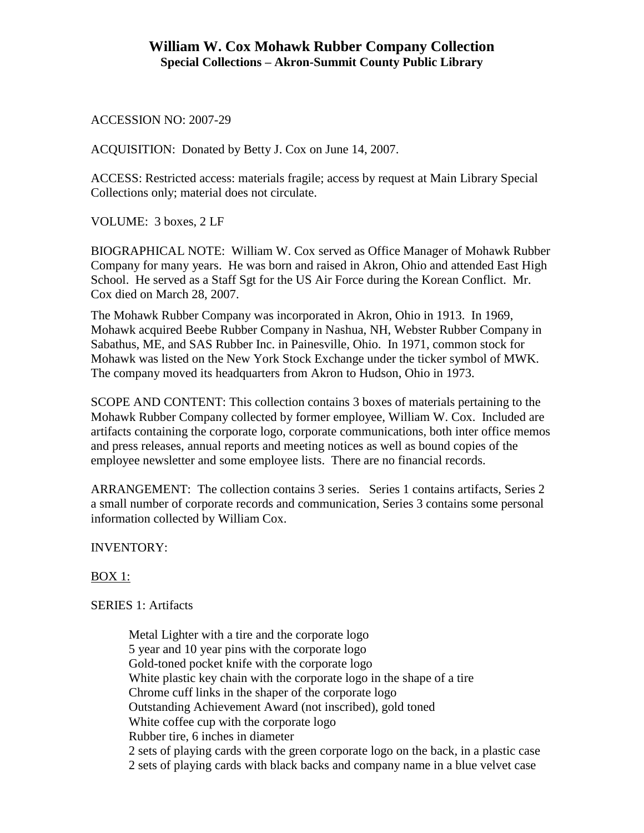ACCESSION NO: 2007-29

ACQUISITION: Donated by Betty J. Cox on June 14, 2007.

ACCESS: Restricted access: materials fragile; access by request at Main Library Special Collections only; material does not circulate.

VOLUME: 3 boxes, 2 LF

BIOGRAPHICAL NOTE: William W. Cox served as Office Manager of Mohawk Rubber Company for many years. He was born and raised in Akron, Ohio and attended East High School. He served as a Staff Sgt for the US Air Force during the Korean Conflict. Mr. Cox died on March 28, 2007.

The Mohawk Rubber Company was incorporated in Akron, Ohio in 1913. In 1969, Mohawk acquired Beebe Rubber Company in Nashua, NH, Webster Rubber Company in Sabathus, ME, and SAS Rubber Inc. in Painesville, Ohio. In 1971, common stock for Mohawk was listed on the New York Stock Exchange under the ticker symbol of MWK. The company moved its headquarters from Akron to Hudson, Ohio in 1973.

SCOPE AND CONTENT: This collection contains 3 boxes of materials pertaining to the Mohawk Rubber Company collected by former employee, William W. Cox. Included are artifacts containing the corporate logo, corporate communications, both inter office memos and press releases, annual reports and meeting notices as well as bound copies of the employee newsletter and some employee lists. There are no financial records.

ARRANGEMENT: The collection contains 3 series. Series 1 contains artifacts, Series 2 a small number of corporate records and communication, Series 3 contains some personal information collected by William Cox.

INVENTORY:

# BOX 1:

# SERIES 1: Artifacts

Metal Lighter with a tire and the corporate logo 5 year and 10 year pins with the corporate logo Gold-toned pocket knife with the corporate logo White plastic key chain with the corporate logo in the shape of a tire Chrome cuff links in the shaper of the corporate logo Outstanding Achievement Award (not inscribed), gold toned White coffee cup with the corporate logo Rubber tire, 6 inches in diameter 2 sets of playing cards with the green corporate logo on the back, in a plastic case 2 sets of playing cards with black backs and company name in a blue velvet case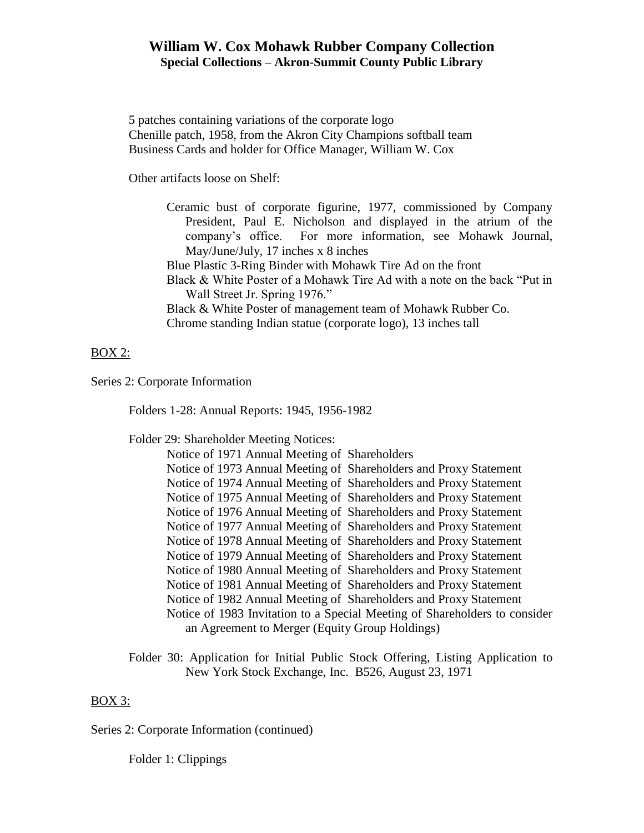# **William W. Cox Mohawk Rubber Company Collection Special Collections – Akron-Summit County Public Library**

5 patches containing variations of the corporate logo Chenille patch, 1958, from the Akron City Champions softball team Business Cards and holder for Office Manager, William W. Cox

Other artifacts loose on Shelf:

- Ceramic bust of corporate figurine, 1977, commissioned by Company President, Paul E. Nicholson and displayed in the atrium of the company's office. For more information, see Mohawk Journal, May/June/July, 17 inches x 8 inches
- Blue Plastic 3-Ring Binder with Mohawk Tire Ad on the front
- Black & White Poster of a Mohawk Tire Ad with a note on the back "Put in Wall Street Jr. Spring 1976."
- Black & White Poster of management team of Mohawk Rubber Co. Chrome standing Indian statue (corporate logo), 13 inches tall

### BOX 2:

Series 2: Corporate Information

Folders 1-28: Annual Reports: 1945, 1956-1982

Folder 29: Shareholder Meeting Notices:

| Notice of 1971 Annual Meeting of Shareholders                              |
|----------------------------------------------------------------------------|
| Notice of 1973 Annual Meeting of Shareholders and Proxy Statement          |
| Notice of 1974 Annual Meeting of Shareholders and Proxy Statement          |
| Notice of 1975 Annual Meeting of Shareholders and Proxy Statement          |
| Notice of 1976 Annual Meeting of Shareholders and Proxy Statement          |
| Notice of 1977 Annual Meeting of Shareholders and Proxy Statement          |
| Notice of 1978 Annual Meeting of Shareholders and Proxy Statement          |
| Notice of 1979 Annual Meeting of Shareholders and Proxy Statement          |
| Notice of 1980 Annual Meeting of Shareholders and Proxy Statement          |
| Notice of 1981 Annual Meeting of Shareholders and Proxy Statement          |
| Notice of 1982 Annual Meeting of Shareholders and Proxy Statement          |
| Notice of 1983 Invitation to a Special Meeting of Shareholders to consider |
| an Agreement to Merger (Equity Group Holdings)                             |

Folder 30: Application for Initial Public Stock Offering, Listing Application to New York Stock Exchange, Inc. B526, August 23, 1971

#### BOX 3:

Series 2: Corporate Information (continued)

Folder 1: Clippings